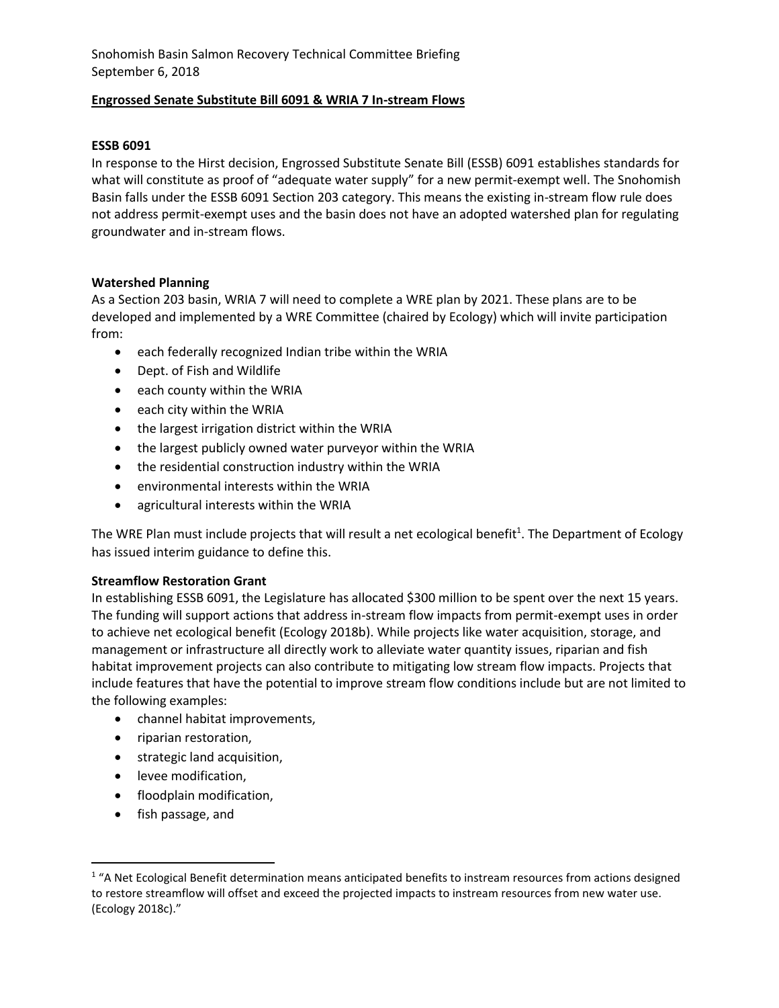## **Engrossed Senate Substitute Bill 6091 & WRIA 7 In-stream Flows**

# **ESSB 6091**

In response to the Hirst decision, Engrossed Substitute Senate Bill (ESSB) 6091 establishes standards for what will constitute as proof of "adequate water supply" for a new permit-exempt well. The Snohomish Basin falls under the ESSB 6091 Section 203 category. This means the existing in-stream flow rule does not address permit-exempt uses and the basin does not have an adopted watershed plan for regulating groundwater and in-stream flows.

## **Watershed Planning**

As a Section 203 basin, WRIA 7 will need to complete a WRE plan by 2021. These plans are to be developed and implemented by a WRE Committee (chaired by Ecology) which will invite participation from:

- each federally recognized Indian tribe within the WRIA
- Dept. of Fish and Wildlife
- each county within the WRIA
- each city within the WRIA
- the largest irrigation district within the WRIA
- the largest publicly owned water purveyor within the WRIA
- the residential construction industry within the WRIA
- environmental interests within the WRIA
- agricultural interests within the WRIA

The WRE Plan must include projects that will result a net ecological benefit<sup>1</sup>. The Department of Ecology has issued interim guidance to define this.

#### **Streamflow Restoration Grant**

In establishing ESSB 6091, the Legislature has allocated \$300 million to be spent over the next 15 years. The funding will support actions that address in-stream flow impacts from permit-exempt uses in order to achieve net ecological benefit (Ecology 2018b). While projects like water acquisition, storage, and management or infrastructure all directly work to alleviate water quantity issues, riparian and fish habitat improvement projects can also contribute to mitigating low stream flow impacts. Projects that include features that have the potential to improve stream flow conditions include but are not limited to the following examples:

- channel habitat improvements,
- riparian restoration,
- strategic land acquisition,
- **•** levee modification,
- floodplain modification,
- fish passage, and

 $\overline{\phantom{a}}$ 

<sup>&</sup>lt;sup>1</sup> "A Net Ecological Benefit determination means anticipated benefits to instream resources from actions designed to restore streamflow will offset and exceed the projected impacts to instream resources from new water use. (Ecology 2018c)."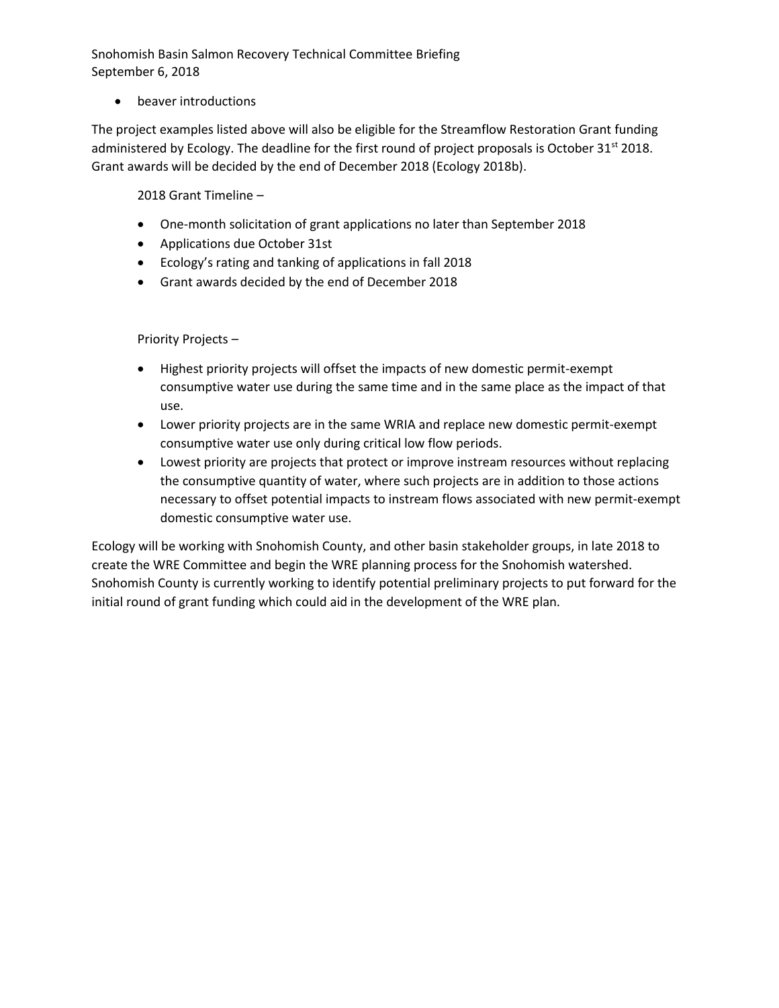beaver introductions

The project examples listed above will also be eligible for the Streamflow Restoration Grant funding administered by Ecology. The deadline for the first round of project proposals is October  $31^{st}$  2018. Grant awards will be decided by the end of December 2018 (Ecology 2018b).

2018 Grant Timeline –

- One-month solicitation of grant applications no later than September 2018
- Applications due October 31st
- Ecology's rating and tanking of applications in fall 2018
- Grant awards decided by the end of December 2018

Priority Projects –

- Highest priority projects will offset the impacts of new domestic permit-exempt consumptive water use during the same time and in the same place as the impact of that use.
- Lower priority projects are in the same WRIA and replace new domestic permit-exempt consumptive water use only during critical low flow periods.
- Lowest priority are projects that protect or improve instream resources without replacing the consumptive quantity of water, where such projects are in addition to those actions necessary to offset potential impacts to instream flows associated with new permit-exempt domestic consumptive water use.

Ecology will be working with Snohomish County, and other basin stakeholder groups, in late 2018 to create the WRE Committee and begin the WRE planning process for the Snohomish watershed. Snohomish County is currently working to identify potential preliminary projects to put forward for the initial round of grant funding which could aid in the development of the WRE plan.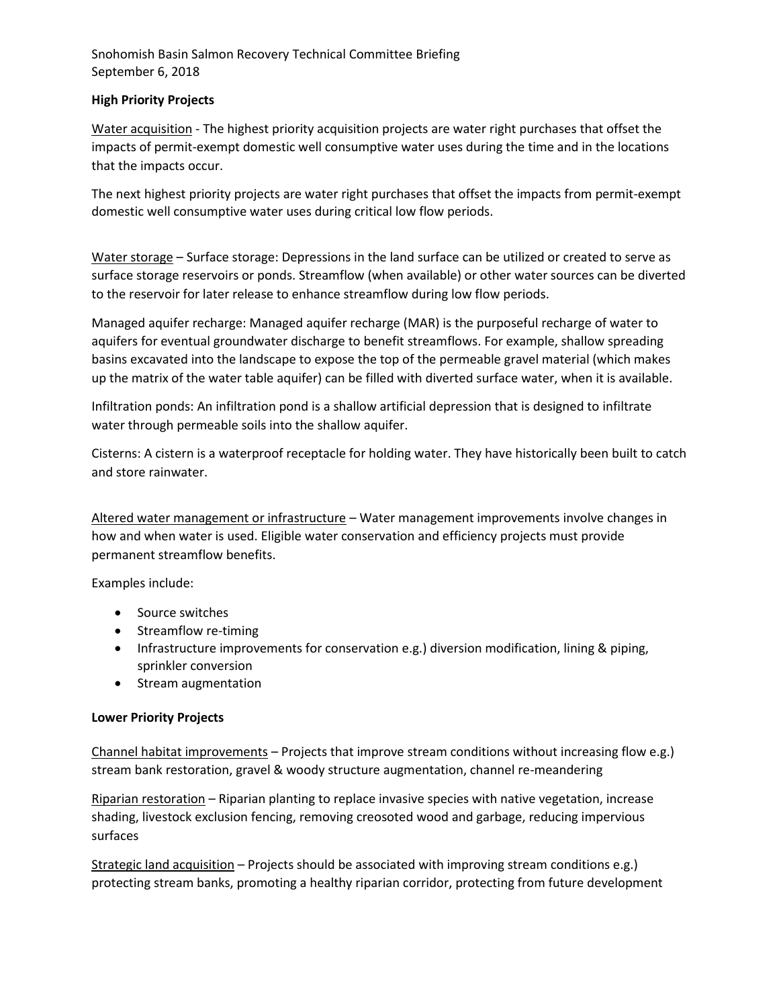### **High Priority Projects**

Water acquisition - The highest priority acquisition projects are water right purchases that offset the impacts of permit-exempt domestic well consumptive water uses during the time and in the locations that the impacts occur.

The next highest priority projects are water right purchases that offset the impacts from permit-exempt domestic well consumptive water uses during critical low flow periods.

Water storage – Surface storage: Depressions in the land surface can be utilized or created to serve as surface storage reservoirs or ponds. Streamflow (when available) or other water sources can be diverted to the reservoir for later release to enhance streamflow during low flow periods.

Managed aquifer recharge: Managed aquifer recharge (MAR) is the purposeful recharge of water to aquifers for eventual groundwater discharge to benefit streamflows. For example, shallow spreading basins excavated into the landscape to expose the top of the permeable gravel material (which makes up the matrix of the water table aquifer) can be filled with diverted surface water, when it is available.

Infiltration ponds: An infiltration pond is a shallow artificial depression that is designed to infiltrate water through permeable soils into the shallow aquifer.

Cisterns: A cistern is a waterproof receptacle for holding water. They have historically been built to catch and store rainwater.

Altered water management or infrastructure - Water management improvements involve changes in how and when water is used. Eligible water conservation and efficiency projects must provide permanent streamflow benefits.

Examples include:

- Source switches
- Streamflow re-timing
- Infrastructure improvements for conservation e.g.) diversion modification, lining & piping, sprinkler conversion
- Stream augmentation

# **Lower Priority Projects**

Channel habitat improvements – Projects that improve stream conditions without increasing flow e.g.) stream bank restoration, gravel & woody structure augmentation, channel re-meandering

Riparian restoration – Riparian planting to replace invasive species with native vegetation, increase shading, livestock exclusion fencing, removing creosoted wood and garbage, reducing impervious surfaces

Strategic land acquisition – Projects should be associated with improving stream conditions e.g.) protecting stream banks, promoting a healthy riparian corridor, protecting from future development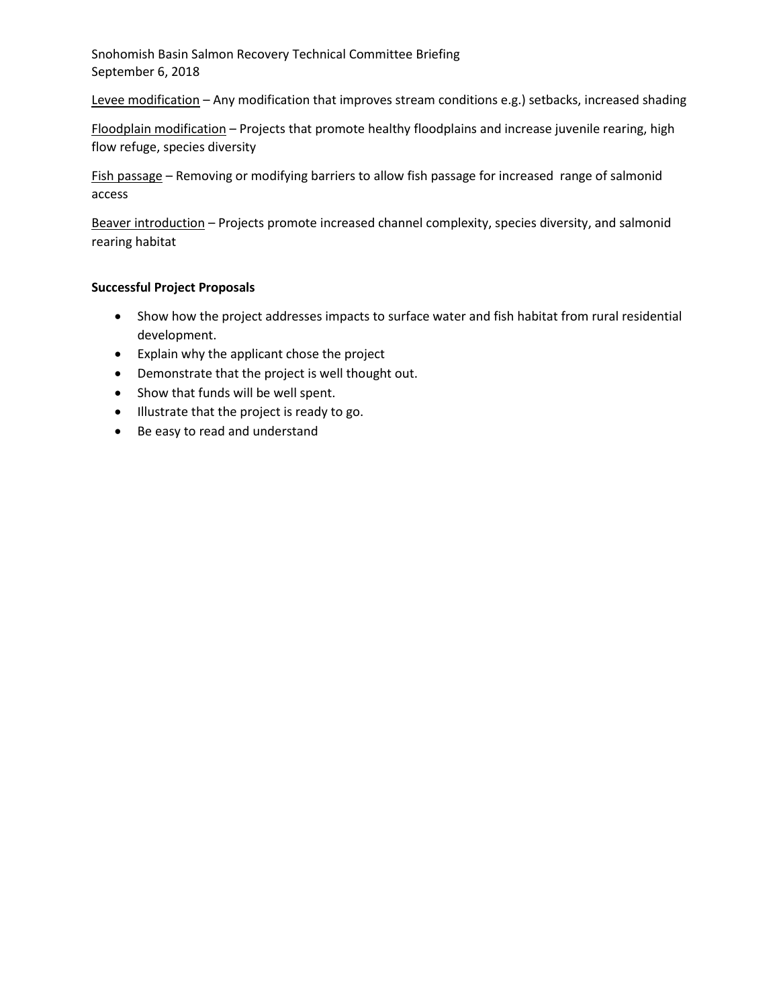Levee modification - Any modification that improves stream conditions e.g.) setbacks, increased shading

Floodplain modification – Projects that promote healthy floodplains and increase juvenile rearing, high flow refuge, species diversity

Fish passage – Removing or modifying barriers to allow fish passage for increased range of salmonid access

Beaver introduction - Projects promote increased channel complexity, species diversity, and salmonid rearing habitat

## **Successful Project Proposals**

- Show how the project addresses impacts to surface water and fish habitat from rural residential development.
- Explain why the applicant chose the project
- Demonstrate that the project is well thought out.
- Show that funds will be well spent.
- $\bullet$  Illustrate that the project is ready to go.
- Be easy to read and understand